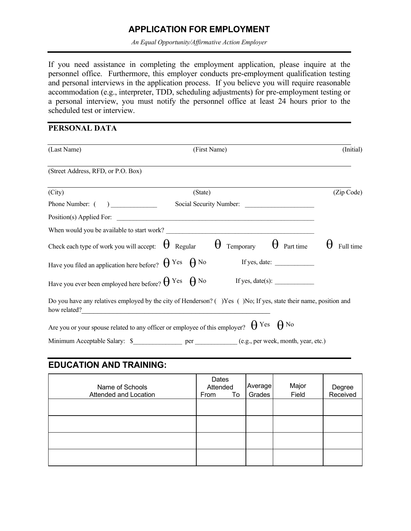# **APPLICATION FOR EMPLOYMENT**

*An Equal Opportunity/Affirmative Action Employer*

If you need assistance in completing the employment application, please inquire at the personnel office. Furthermore, this employer conducts pre-employment qualification testing and personal interviews in the application process. If you believe you will require reasonable accommodation (e.g., interpreter, TDD, scheduling adjustments) for pre-employment testing or a personal interview, you must notify the personnel office at least 24 hours prior to the scheduled test or interview.

### **PERSONAL DATA**

| (Last Name)                                                                                                                       | (First Name) |                         | (Initial) |                       |
|-----------------------------------------------------------------------------------------------------------------------------------|--------------|-------------------------|-----------|-----------------------|
| (Street Address, RFD, or P.O. Box)                                                                                                |              |                         |           |                       |
| (City)                                                                                                                            | (State)      |                         |           | (Zip Code)            |
|                                                                                                                                   |              | Social Security Number: |           |                       |
|                                                                                                                                   |              |                         |           |                       |
|                                                                                                                                   |              |                         |           |                       |
| Check each type of work you will accept: $\Theta$ Regular $\Theta$ Temporary $\Theta$ Part time                                   |              |                         |           | $\theta$<br>Full time |
|                                                                                                                                   |              |                         |           |                       |
|                                                                                                                                   |              |                         |           |                       |
| Do you have any relatives employed by the city of Henderson? () Yes () No; If yes, state their name, position and<br>how related? |              |                         |           |                       |
| Are you or your spouse related to any officer or employee of this employer? $\theta$ Yes $\theta$ No                              |              |                         |           |                       |
|                                                                                                                                   |              |                         |           |                       |

# **EDUCATION AND TRAINING:**

| Name of Schools<br>Attended and Location | Dates<br>Attended<br>From<br>To | Average<br>Grades | Major<br>Field | Degree<br>Received |
|------------------------------------------|---------------------------------|-------------------|----------------|--------------------|
|                                          |                                 |                   |                |                    |
|                                          |                                 |                   |                |                    |
|                                          |                                 |                   |                |                    |
|                                          |                                 |                   |                |                    |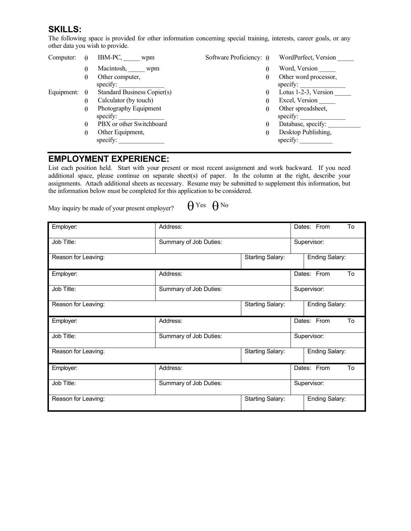## **SKILLS:**

The following space is provided for other information concerning special training, interests, career goals, or any other data you wish to provide.

| Computer:  |          | IBM-PC,<br>wpm                     | Software Proficiency: $\theta$ | WordPerfect, Version              |
|------------|----------|------------------------------------|--------------------------------|-----------------------------------|
|            | θ        | Macintosh, wpm                     | θ                              | Word, Version                     |
|            | θ        | Other computer,<br>specify:        | θ                              | Other word processor,<br>specify: |
| Equipment: | $\theta$ | <b>Standard Business Copier(s)</b> | θ                              | Lotus 1-2-3, Version              |
|            | θ        | Calculator (by touch)              | θ                              | Excel, Version                    |
|            | θ        | Photography Equipment<br>specify:  | θ                              | Other spreadsheet,<br>specify:    |
|            | θ        | PBX or other Switchboard           | θ                              | Database, specify:                |
|            | θ        | Other Equipment,<br>specify:       | θ                              | Desktop Publishing,<br>specify:   |

#### **EMPLOYMENT EXPERIENCE:**

List each position held. Start with your present or most recent assignment and work backward. If you need additional space, please continue on separate sheet(s) of paper. In the column at the right, describe your assignments. Attach additional sheets as necessary. Resume may be submitted to supplement this information, but the information below must be completed for this application to be considered.

May inquiry be made of your present employer?  $\theta$  Yes  $\theta$  No

| Employer:           | Address:               |                         |             | Dates: From<br>To     |
|---------------------|------------------------|-------------------------|-------------|-----------------------|
| Job Title:          | Summary of Job Duties: |                         | Supervisor: |                       |
| Reason for Leaving: |                        | <b>Starting Salary:</b> |             | <b>Ending Salary:</b> |
| Employer:           | Address:               |                         |             | Dates: From<br>To     |
| Job Title:          | Summary of Job Duties: |                         | Supervisor: |                       |
| Reason for Leaving: |                        | <b>Starting Salary:</b> |             | Ending Salary:        |
| Employer:           | Address:               |                         |             | Dates: From<br>To     |
| Job Title:          | Summary of Job Duties: |                         | Supervisor: |                       |
| Reason for Leaving: |                        | <b>Starting Salary:</b> |             | <b>Ending Salary:</b> |
| Employer:           | Address:               |                         |             | Dates: From<br>To     |
| Job Title:          | Summary of Job Duties: |                         | Supervisor: |                       |
| Reason for Leaving: |                        | <b>Starting Salary:</b> |             | Ending Salary:        |